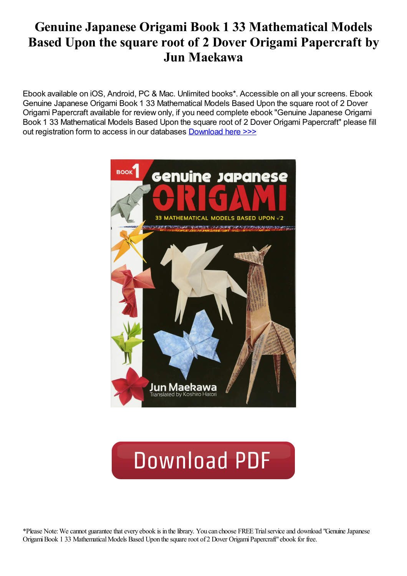# Genuine Japanese Origami Book 1 33 Mathematical Models Based Upon the square root of 2 Dover Origami Papercraft by Jun Maekawa

Ebook available on iOS, Android, PC & Mac. Unlimited books\*. Accessible on all your screens. Ebook Genuine Japanese Origami Book 1 33 Mathematical Models Based Upon the square root of 2 Dover Origami Papercraft available for review only, if you need complete ebook "Genuine Japanese Origami Book 1 33 Mathematical Models Based Upon the square root of 2 Dover Origami Papercraft" please fill out registration form to access in our databases [Download](https://kozilekmusic.com/sbookfile/R2VudWluZSBKYXBhbmVzZSBPcmlnYW1pLCBCb29rIDE6IDMzIE1hdGhlbWF0aWNhbCBNb2RlbHMgQmFzZWQgVXBvbiAodGhlIHNxdWFyZSByb290IG9mKSAyIChEb3ZlciBPcmlnYW1pIFBhcGVyY3JhZnQp) here >>>



# **Download PDF**

\*Please Note:Wecannot guaranteethatevery ebook is in thelibrary. You can choose FREE Trialserviceand download "GenuineJapanese Origami Book 1 33 Mathematical Models Based Upon the square root of 2 Dover Origami Papercraft" ebook for free.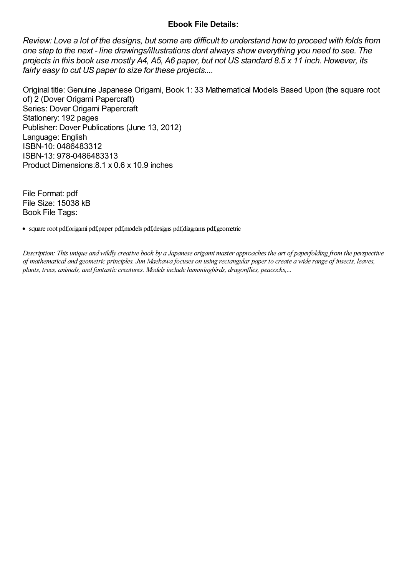### Ebook File Details:

Review: Love a lot of the designs, but some are difficult to understand how to proceed with folds from one step to the next - line drawings/illustrations dont always show everything you need to see. The projects in this book use mostly A4, A5, A6 paper, but not US standard 8.5 x 11 inch. However, its fairly easy to cut US paper to size for these projects....

Original title: Genuine Japanese Origami, Book 1: 33 Mathematical Models Based Upon (the square root of) 2 (Dover Origami Papercraft) Series: Dover Origami Papercraft Stationery: 192 pages Publisher: Dover Publications (June 13, 2012) Language: English ISBN-10: 0486483312 ISBN-13: 978-0486483313 Product Dimensions:8.1 x 0.6 x 10.9 inches

File Format: pdf File Size: 15038 kB Book File Tags:

• square root pdf,origami pdf,paper pdf,models pdf,designs pdf,diagrams pdf,geometric

Description: This unique and wildlycreative book by a Japanese origami master approaches the art of paperfolding from the perspective of mathematical and geometric principles. Jun Maekawa focuses on using rectangular paper to create a wide range of insects, leaves, plants, trees, animals, and fantasticcreatures. Models include hummingbirds, dragonflies, peacocks,...